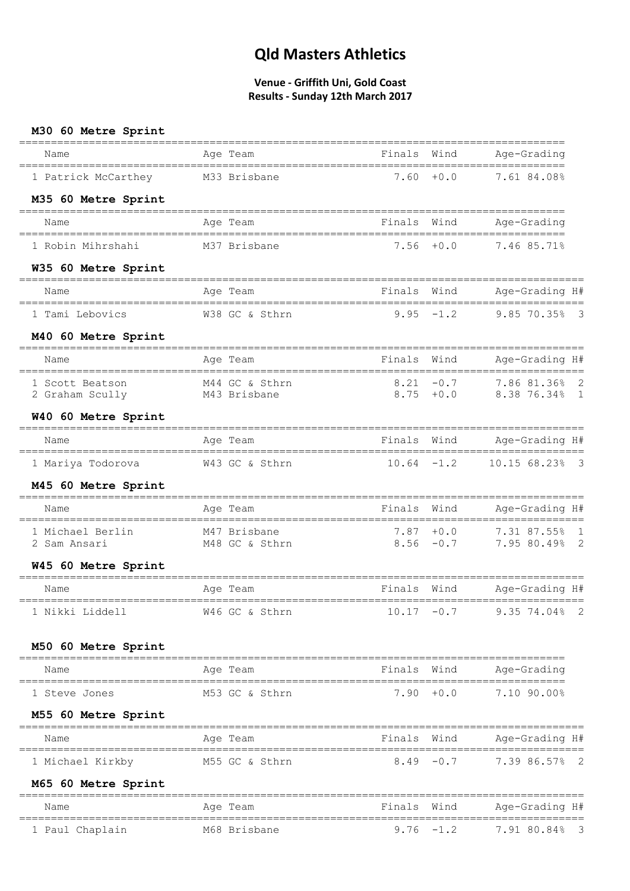| M30 60 Metre Sprint                                         |                                |                                              |              |                                                                                                                   |
|-------------------------------------------------------------|--------------------------------|----------------------------------------------|--------------|-------------------------------------------------------------------------------------------------------------------|
| Name                                                        | Age Team                       | Finals                                       | Wind         | Age-Grading                                                                                                       |
| 1 Patrick McCarthey                                         | M33 Brisbane                   | 7.60                                         | $+0.0$       | 7.61 84.08%                                                                                                       |
| M35 60 Metre Sprint                                         |                                |                                              |              |                                                                                                                   |
| Name                                                        | Age Team                       | Finals<br>================================== | Wind         | Age-Grading<br>====================                                                                               |
| 1 Robin Mihrshahi                                           | M37 Brisbane                   |                                              | $7.56 + 0.0$ | 7.46 85.71%                                                                                                       |
| W35 60 Metre Sprint                                         |                                |                                              |              |                                                                                                                   |
| Name                                                        | Age Team                       | Finals Wind                                  |              | Age-Grading H#                                                                                                    |
| 1 Tami Lebovics                                             | W38 GC & Sthrn                 |                                              | $9.95 - 1.2$ | 9.85 70.35% 3                                                                                                     |
| M40 60 Metre Sprint                                         |                                | ==================                           |              |                                                                                                                   |
| Name<br>===================================                 | Age Team                       | Finals<br>----------------------------       | Wind         | Age-Grading H#<br>====================                                                                            |
| 1 Scott Beatson<br>2 Graham Scully                          | M44 GC & Sthrn<br>M43 Brisbane | $8.21 - 0.7$<br>$8.75 + 0.0$                 |              | 7.86 81.36% 2<br>8.38 76.34% 1                                                                                    |
| W40 60 Metre Sprint                                         |                                |                                              |              |                                                                                                                   |
| Name                                                        | Age Team                       | Finals Wind                                  |              | Age-Grading H#                                                                                                    |
| 1 Mariya Todorova                                           | W43 GC & Sthrn                 | $10.64 - 1.2$                                |              | 10.15 68.23% 3                                                                                                    |
| M45 60 Metre Sprint                                         |                                |                                              |              |                                                                                                                   |
| Name                                                        | Age Team                       | Finals                                       | Wind         | Age-Grading H#                                                                                                    |
| 1 Michael Berlin M47 Brisbane<br>2 Sam Ansari M48 GC & Sth: | M48 GC & Sthrn                 |                                              |              | =====================<br>-----------------<br>7.87 +0.0 7.31 87.55% 1<br>8.56 -0.7 -<br>$8.56 -0.7$ 7.95 80.49% 2 |
| W45 60 Metre Sprint                                         |                                |                                              |              |                                                                                                                   |
| Name                                                        | Age Team                       | Finals Wind                                  |              | Age-Grading H#                                                                                                    |
|                                                             |                                |                                              |              |                                                                                                                   |
| 1 Nikki Liddell                                             | W46 GC & Sthrn                 |                                              |              | 10.17 -0.7 9.35 74.04% 2                                                                                          |
| M50 60 Metre Sprint                                         |                                |                                              |              |                                                                                                                   |
| Name                                                        | Age Team                       | Finals Wind                                  |              | Age-Grading                                                                                                       |
| 1 Steve Jones                                               | M53 GC & Sthrn                 |                                              | $7.90 + 0.0$ | 7.10 90.00%                                                                                                       |
| M55 60 Metre Sprint                                         |                                |                                              |              |                                                                                                                   |
| Name                                                        | Age Team                       | Finals                                       | Wind         | Age-Grading H#                                                                                                    |
| 1 Michael Kirkby                                            | M55 GC & Sthrn                 |                                              | $8.49 - 0.7$ | $7.3986.57%$ 2                                                                                                    |
| M65 60 Metre Sprint                                         |                                |                                              |              |                                                                                                                   |
| Name                                                        | Age Team                       | Finals<br>========                           | Wind         | Age-Grading H#                                                                                                    |
| 1 Paul Chaplain                                             | M68 Brisbane                   |                                              |              | ======================<br>$9.76 -1.2$ 7.91 80.84% 3                                                               |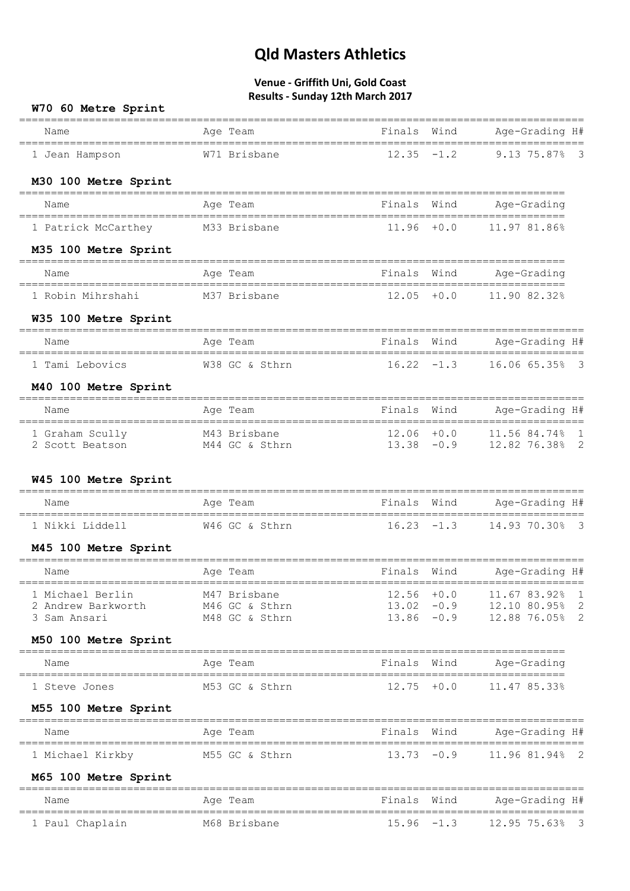| W70 60 Metre Sprint                |                                          |                                |               |                                                |
|------------------------------------|------------------------------------------|--------------------------------|---------------|------------------------------------------------|
| Name                               | Age Team                                 | Finals Wind                    |               | Age-Grading H#                                 |
| 1 Jean Hampson                     | W71 Brisbane                             | $12.35 - 1.2$                  |               | 9.13 75.87%<br>$\overline{\phantom{a}}$        |
| M30 100 Metre Sprint               |                                          |                                |               |                                                |
| Name                               | Age Team                                 | Finals                         | Wind          | Age-Grading                                    |
| 1 Patrick McCarthey M33 Brisbane   |                                          | $11.96 + 0.0$                  |               | 11.97 81.86%                                   |
| M35 100 Metre Sprint               |                                          |                                |               |                                                |
| Name                               | Age Team                                 | Finals Wind                    |               | Age-Grading                                    |
| 1 Robin Mihrshahi                  | M37 Brisbane                             | $12.05 + 0.0$                  |               | 11.90 82.32%                                   |
| W35 100 Metre Sprint               |                                          |                                |               |                                                |
| Name                               | Age Team                                 | Finals Wind                    |               | Age-Grading H#                                 |
| 1 Tami Lebovics                    | W38 GC & Sthrn                           | $16.22 - 1.3$                  |               | 16.06 65.35% 3                                 |
| M40 100 Metre Sprint               |                                          | =====================          |               |                                                |
| Name                               | Age Team                                 | Finals                         | Wind          | Age-Grading H#<br>======================       |
| 1 Graham Scully<br>2 Scott Beatson | M43 Brisbane<br>M44 GC & Sthrn           | $12.06 + 0.0$<br>$13.38 - 0.9$ |               | 11.56 84.74% 1<br>12.82 76.38% 2               |
| W45 100 Metre Sprint               |                                          |                                |               | =================                              |
| Name                               | Age Team                                 | Finals Wind                    |               | Age-Grading H#                                 |
| 1 Nikki Liddell                    | W46 GC & Sthrn                           | $16.23 - 1.3$                  |               | 14.93 70.30% 3                                 |
| M45 100 Metre Sprint               |                                          |                                |               |                                                |
| Name                               | Age Team                                 |                                |               | Finals Wind Age-Grading H#                     |
| 1 Michael Berlin                   | M47 Brisbane                             | $13.02 -0.9$                   | $12.56 + 0.0$ | 11.67 83.92%<br>$\mathbf{1}$<br>12.10 80.95% 2 |
| 2 Andrew Barkworth<br>3 Sam Ansari | M46 GC & Sthrn<br>M48 GC & Sthrn         |                                | $13.86 - 0.9$ | 12.88 76.05% 2                                 |
| M50 100 Metre Sprint               |                                          |                                |               |                                                |
| Name                               | Age Team                                 | Finals                         | Wind          | Age-Grading                                    |
| 1 Steve Jones                      | M53 GC & Sthrn                           | $12.75 + 0.0$                  |               | 11.47 85.33%                                   |
| M55 100 Metre Sprint               |                                          |                                |               |                                                |
| Name                               | ============================<br>Age Team | Finals Wind                    |               | Age-Grading H#                                 |
| 1 Michael Kirkby                   | M55 GC & Sthrn                           |                                | $13.73 - 0.9$ | 11.96 81.94% 2                                 |
| M65 100 Metre Sprint               |                                          |                                |               |                                                |
| Name                               | Age Team                                 |                                |               | Finals Wind Age-Grading H#                     |
| 1 Paul Chaplain                    | M68 Brisbane                             |                                | $15.96 - 1.3$ | 12.95 75.63% 3                                 |
|                                    |                                          |                                |               |                                                |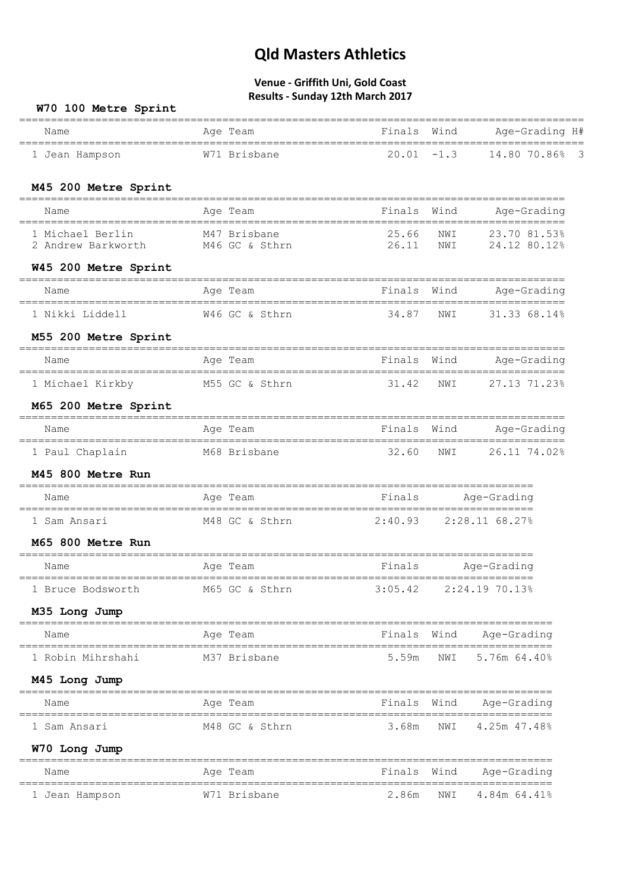| W70 100 Metre Sprint                                   |                                |                            |                            |                              |
|--------------------------------------------------------|--------------------------------|----------------------------|----------------------------|------------------------------|
| Name                                                   | Age Team                       | Finals                     | Wind                       | Age-Grading H#               |
| 1 Jean Hampson                                         | W71 Brisbane                   |                            |                            | $20.01 - 1.3$ 14.80 70.86% 3 |
| M45 200 Metre Sprint                                   |                                |                            |                            |                              |
| Name                                                   | Age Team                       | Finals                     | Wind                       | Age-Grading                  |
| 1 Michael Berlin<br>2 Andrew Barkworth                 | M47 Brisbane<br>M46 GC & Sthrn | 25.66<br>26.11             | NWI<br>NWI                 | 23.70 81.53%<br>24.12 80.12% |
| W45 200 Metre Sprint                                   |                                |                            |                            |                              |
| Name                                                   | Age Team                       | Finals                     | Wind                       | Age-Grading                  |
| 1 Nikki Liddell                                        | W46 GC & Sthrn                 | 34.87                      | NWI                        | 31.3368.14%                  |
| M55 200 Metre Sprint                                   |                                |                            |                            |                              |
| Name                                                   | Age Team                       | Finals Wind                |                            | Age-Grading                  |
| 1 Michael Kirkby M55 GC & Sthrn                        |                                | 31.42                      | NWI                        | 27.13 71.23%                 |
| M65 200 Metre Sprint                                   |                                |                            |                            |                              |
| Name                                                   | Age Team                       | Finals Wind                |                            | Age-Grading                  |
| 1 Paul Chaplain                                        | M68 Brisbane                   | 32.60                      | NWI                        | 26.11 74.02%                 |
| M45 800 Metre Run                                      |                                |                            |                            |                              |
| Name                                                   | Age Team                       | Finals                     | Age-Grading                |                              |
| 1 Sam Ansari                                           | M48 GC & Sthrn                 |                            | $2:40.93$ $2:28.11$ 68.27% |                              |
| M65 800 Metre Run                                      |                                |                            |                            |                              |
| Name                                                   | Age Team                       | Finals                     | Age-Grading                |                              |
| 1 Bruce Bodsworth M65 GC & Sthrn                       |                                | $3:05.42$ $2:24.19$ 70.13% |                            |                              |
| M35 Long Jump                                          |                                |                            |                            |                              |
| Name                                                   | Aqe Team                       | Finals Wind                |                            | Age-Grading                  |
| 1 Robin Mihrshahi                                      | M37 Brisbane                   | 5.59m                      | NWI                        | 5.76m 64.40%                 |
| M45 Long Jump                                          |                                |                            |                            |                              |
| Name                                                   | Age Team                       | Finals Wind                |                            | Age-Grading                  |
| 1 Sam Ansari                                           | M48 GC & Sthrn                 | 3.68m                      | NWI                        | 4.25m 47.48%                 |
| W70 Long Jump                                          |                                |                            |                            |                              |
| Name                                                   | Age Team                       |                            |                            | Finals Wind Age-Grading      |
| ====================================<br>1 Jean Hampson | W71 Brisbane                   | 2.86m                      | NWI                        | 4.84m 64.41%                 |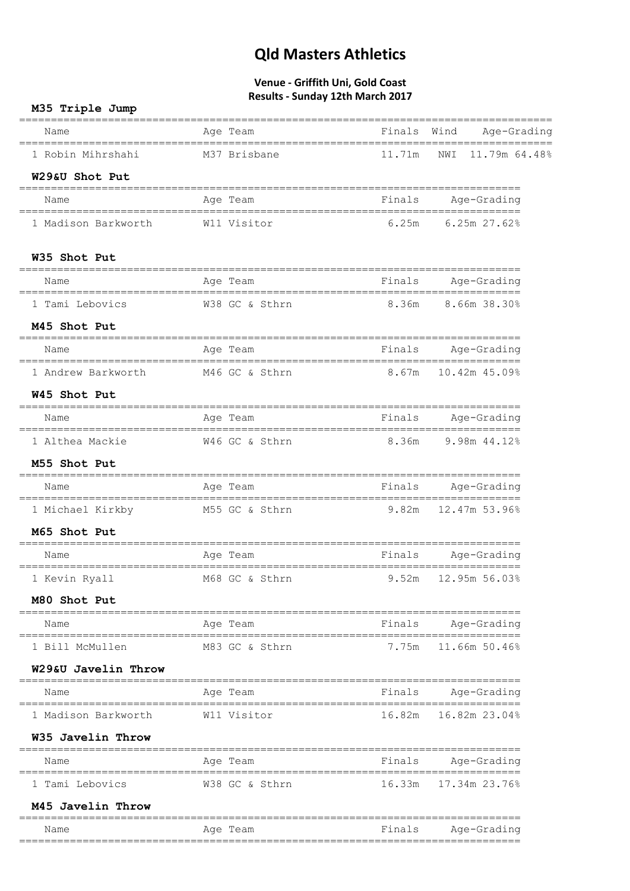| M35 Triple Jump                                      |                |        |                            |
|------------------------------------------------------|----------------|--------|----------------------------|
| Name                                                 | Age Team       |        | Finals Wind Age-Grading    |
| 1 Robin Mihrshahi                                    | M37 Brisbane   | 11.71m | NWI 11.79m 64.48%          |
| W29&U Shot Put                                       |                |        |                            |
| Name                                                 | Age Team       | Finals | Age-Grading                |
| 1 Madison Barkworth                                  | W11 Visitor    | 6.25m  | $6.25m$ 27.62%             |
| W35 Shot Put                                         |                |        |                            |
| Name                                                 | Age Team       |        | Finals Age-Grading         |
| 1 Tami Lebovics M38 GC & Sthrn                       |                |        | 8.36m 8.66m 38.30%         |
| M45 Shot Put                                         |                |        |                            |
| Name                                                 | Age Team       |        | Finals Age-Grading         |
| 1 Andrew Barkworth M46 GC & Sthrn                    |                |        | 8.67m 10.42m 45.09%        |
| W45 Shot Put                                         |                |        |                            |
| Name                                                 | Age Team       |        | Finals Age-Grading         |
| 1 Althea Mackie M46 GC & Sthrn                       |                |        | 8.36m 9.98m 44.12%         |
| M55 Shot Put                                         |                |        |                            |
| Name                                                 | Age Team       |        | Finals Age-Grading         |
| 1 Michael Kirkby                                     | M55 GC & Sthrn |        | $9.82m$ $12.47m$ $53.96\%$ |
| M65 Shot Put                                         |                |        |                            |
| Name                                                 | Age Team       |        | Finals Age-Grading         |
| 1 Kevin Ryall                                        | M68 GC & Sthrn |        | 9.52m 12.95m 56.03%        |
| M80 Shot Put                                         |                |        |                            |
| Name                                                 | Age Team       | Finals | Age-Grading                |
| 1 Bill McMullen                                      | M83 GC & Sthrn |        | 7.75m 11.66m 50.46%        |
| W29&U Javelin Throw                                  |                |        |                            |
| Name                                                 | Age Team       | Finals | Age-Grading                |
| 1 Madison Barkworth                                  | W11 Visitor    | 16.82m | 16.82m 23.04%              |
| W35 Javelin Throw                                    |                |        |                            |
| Name                                                 | Age Team       | Finals | Age-Grading                |
| =================================<br>1 Tami Lebovics | W38 GC & Sthrn | 16.33m | 17.34m 23.76%              |
| M45 Javelin Throw                                    |                |        |                            |
| Name                                                 | Age Team       | Finals | Age-Grading                |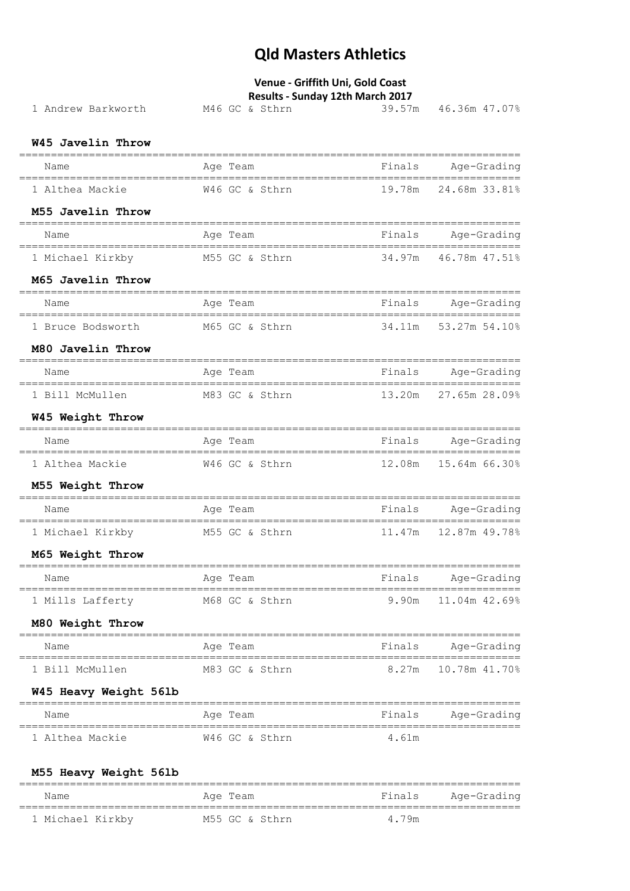## **Venue - Griffith Uni, Gold Coast**

### **Results - Sunday 12th March 2017**

| 1 Andrew Barkworth                          | M46 GC & Sthrn | 39.57m | 46.36m 47.07%            |
|---------------------------------------------|----------------|--------|--------------------------|
| W45 Javelin Throw                           |                |        |                          |
| Name                                        | Age Team       | Finals | Age-Grading              |
| 1 Althea Mackie                             | W46 GC & Sthrn | 19.78m | 24.68m 33.81%            |
| M55 Javelin Throw                           |                |        |                          |
| Name<br>-================================== | Age Team       |        | Finals Age-Grading       |
| 1 Michael Kirkby                            | M55 GC & Sthrn | 34.97m | 46.78m 47.51%            |
| M65 Javelin Throw                           |                |        |                          |
| Name                                        | Age Team       | Finals | Age-Grading              |
| 1 Bruce Bodsworth M65 GC & Sthrn            |                | 34.11m | 53.27m 54.10%            |
| M80 Javelin Throw                           |                |        |                          |
| Name                                        | Age Team       | Finals | Age-Grading              |
| 1 Bill McMullen                             | M83 GC & Sthrn |        | 13.20m 27.65m 28.09%     |
| W45 Weight Throw                            |                |        |                          |
| Name                                        | Age Team       |        | Finals Age-Grading       |
| 1 Althea Mackie                             | W46 GC & Sthrn |        | 12.08m  15.64m  66.30%   |
| M55 Weight Throw                            |                |        |                          |
| Name                                        | Age Team       |        | Finals Age-Grading       |
| 1 Michael Kirkby M55 GC & Sthrn             |                | 11.47m | 12.87m 49.78%            |
| M65 Weight Throw                            |                |        |                          |
| Name                                        | Age Team       |        | Finals Age-Grading       |
| 1 Mills Lafferty                            | M68 GC & Sthrn | 9.90m  | 11.04m 42.69%            |
| M80 Weight Throw                            |                |        |                          |
| Name                                        | Age Team       | Finals | Age-Grading              |
| 1 Bill McMullen                             | M83 GC & Sthrn |        | $8.27m$ 10.78m $41.70\%$ |
| W45 Heavy Weight 561b                       |                |        |                          |
| Name                                        | Age Team       | Finals | Age-Grading              |
| 1 Althea Mackie                             | W46 GC & Sthrn | 4.61m  |                          |
|                                             |                |        |                          |

### **M55 Heavy Weight 56lb**

| Name             | Age Team       | Finals | Aqe-Grading |
|------------------|----------------|--------|-------------|
| 1 Michael Kirkby | M55 GC & Sthrn | 4.79m  |             |